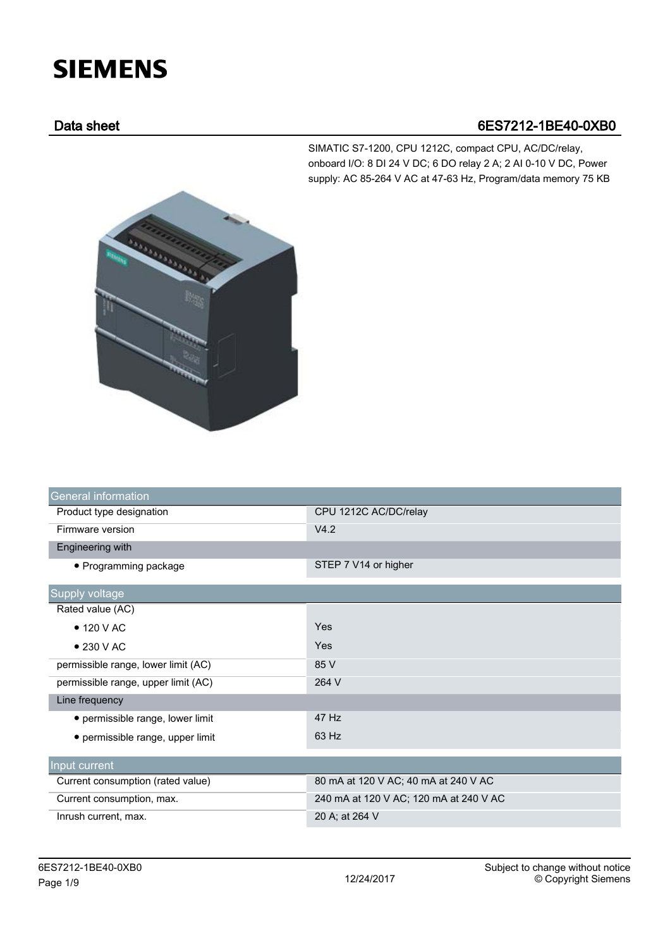## **SIEMENS**

## Data sheet 6ES7212-1BE40-0XB0

SIMATIC S7-1200, CPU 1212C, compact CPU, AC/DC/relay, onboard I/O: 8 DI 24 V DC; 6 DO relay 2 A; 2 AI 0-10 V DC, Power supply: AC 85-264 V AC at 47-63 Hz, Program/data memory 75 KB



| <b>General information</b>          |                                        |
|-------------------------------------|----------------------------------------|
| Product type designation            | CPU 1212C AC/DC/relay                  |
| Firmware version                    | V4.2                                   |
| Engineering with                    |                                        |
| • Programming package               | STEP 7 V14 or higher                   |
| Supply voltage                      |                                        |
| Rated value (AC)                    |                                        |
| $\bullet$ 120 V AC                  | Yes                                    |
| $\bullet$ 230 V AC                  | Yes                                    |
| permissible range, lower limit (AC) | 85 V                                   |
| permissible range, upper limit (AC) | 264 V                                  |
| Line frequency                      |                                        |
| • permissible range, lower limit    | 47 Hz                                  |
| • permissible range, upper limit    | 63 Hz                                  |
| Input current                       |                                        |
| Current consumption (rated value)   | 80 mA at 120 V AC; 40 mA at 240 V AC   |
| Current consumption, max.           | 240 mA at 120 V AC; 120 mA at 240 V AC |
| Inrush current, max.                | 20 A; at 264 V                         |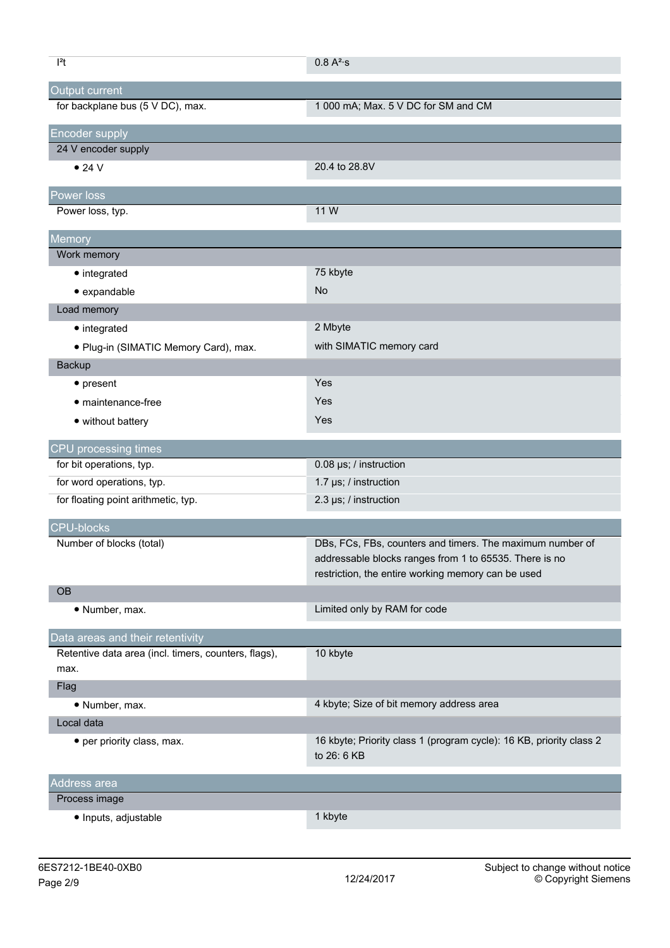| $ ^{2}t$                                             | $0.8 A^2$ ·s                                                                       |
|------------------------------------------------------|------------------------------------------------------------------------------------|
| Output current                                       |                                                                                    |
| for backplane bus (5 V DC), max.                     | 1 000 mA; Max. 5 V DC for SM and CM                                                |
| <b>Encoder supply</b>                                |                                                                                    |
| 24 V encoder supply                                  |                                                                                    |
| $\bullet$ 24 V                                       | 20.4 to 28.8V                                                                      |
| Power loss                                           |                                                                                    |
| Power loss, typ.                                     | 11 W                                                                               |
|                                                      |                                                                                    |
| Memory<br>Work memory                                |                                                                                    |
| $\bullet$ integrated                                 | 75 kbyte                                                                           |
|                                                      | No                                                                                 |
| • expandable                                         |                                                                                    |
| Load memory                                          | 2 Mbyte                                                                            |
| • integrated                                         |                                                                                    |
| · Plug-in (SIMATIC Memory Card), max.                | with SIMATIC memory card                                                           |
| Backup                                               |                                                                                    |
| $\bullet$ present                                    | Yes                                                                                |
| • maintenance-free                                   | Yes                                                                                |
| • without battery                                    | Yes                                                                                |
| CPU processing times                                 |                                                                                    |
| for bit operations, typ.                             | 0.08 µs; / instruction                                                             |
| for word operations, typ.                            | 1.7 µs; / instruction                                                              |
| for floating point arithmetic, typ.                  | 2.3 µs; / instruction                                                              |
| <b>CPU-blocks</b>                                    |                                                                                    |
| Number of blocks (total)                             | DBs, FCs, FBs, counters and timers. The maximum number of                          |
|                                                      | addressable blocks ranges from 1 to 65535. There is no                             |
|                                                      | restriction, the entire working memory can be used                                 |
| <b>OB</b>                                            |                                                                                    |
| • Number, max.                                       | Limited only by RAM for code                                                       |
| Data areas and their retentivity                     |                                                                                    |
| Retentive data area (incl. timers, counters, flags), | 10 kbyte                                                                           |
| max.                                                 |                                                                                    |
| Flag                                                 |                                                                                    |
| • Number, max.                                       | 4 kbyte; Size of bit memory address area                                           |
| Local data                                           |                                                                                    |
| • per priority class, max.                           | 16 kbyte; Priority class 1 (program cycle): 16 KB, priority class 2<br>to 26: 6 KB |
|                                                      |                                                                                    |
| Address area                                         |                                                                                    |
| Process image                                        |                                                                                    |
| · Inputs, adjustable                                 | 1 kbyte                                                                            |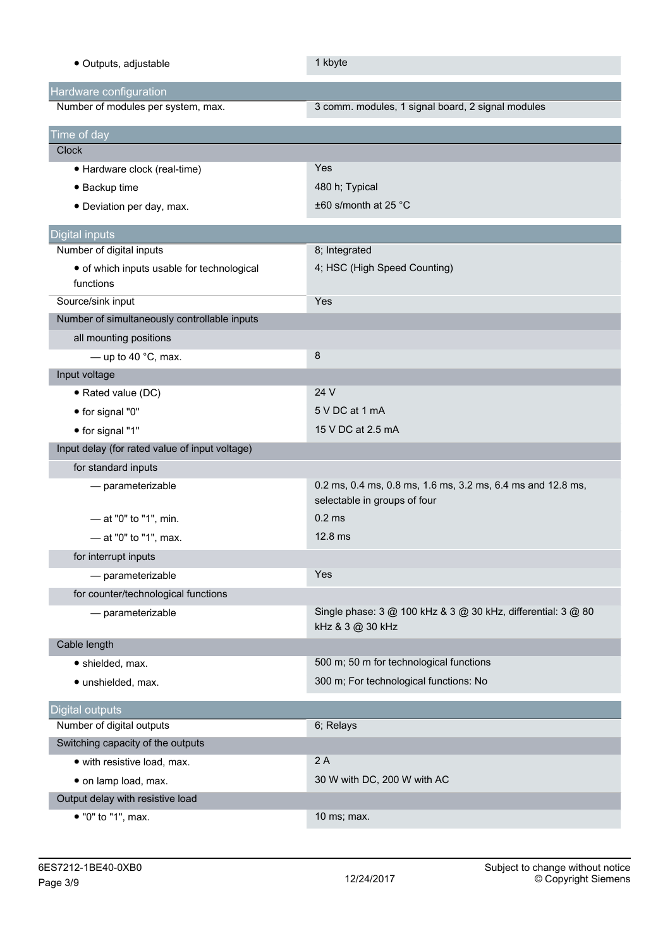| · Outputs, adjustable                                   | 1 kbyte                                                                                     |
|---------------------------------------------------------|---------------------------------------------------------------------------------------------|
| Hardware configuration                                  |                                                                                             |
| Number of modules per system, max.                      | 3 comm. modules, 1 signal board, 2 signal modules                                           |
| Time of day                                             |                                                                                             |
| Clock                                                   |                                                                                             |
| • Hardware clock (real-time)                            | Yes                                                                                         |
| • Backup time                                           | 480 h; Typical                                                                              |
| • Deviation per day, max.                               | $\pm 60$ s/month at 25 °C                                                                   |
| <b>Digital inputs</b>                                   |                                                                                             |
| Number of digital inputs                                | 8; Integrated                                                                               |
| • of which inputs usable for technological<br>functions | 4; HSC (High Speed Counting)                                                                |
| Source/sink input                                       | Yes                                                                                         |
| Number of simultaneously controllable inputs            |                                                                                             |
| all mounting positions                                  |                                                                                             |
| - up to 40 $^{\circ}$ C, max.                           | 8                                                                                           |
| Input voltage                                           |                                                                                             |
| • Rated value (DC)                                      | 24 V                                                                                        |
| • for signal "0"                                        | 5 V DC at 1 mA                                                                              |
| • for signal "1"                                        | 15 V DC at 2.5 mA                                                                           |
| Input delay (for rated value of input voltage)          |                                                                                             |
| for standard inputs                                     |                                                                                             |
| - parameterizable                                       | 0.2 ms, 0.4 ms, 0.8 ms, 1.6 ms, 3.2 ms, 6.4 ms and 12.8 ms,<br>selectable in groups of four |
| - at "0" to "1", min.                                   | $0.2$ ms                                                                                    |
| - at "0" to "1", max.                                   | 12.8 ms                                                                                     |
| for interrupt inputs                                    |                                                                                             |
| - parameterizable                                       | Yes                                                                                         |
| for counter/technological functions                     |                                                                                             |
| - parameterizable                                       | Single phase: 3 @ 100 kHz & 3 @ 30 kHz, differential: 3 @ 80<br>kHz & 3 @ 30 kHz            |
| Cable length                                            |                                                                                             |
| · shielded, max.                                        | 500 m; 50 m for technological functions                                                     |
| · unshielded, max.                                      | 300 m; For technological functions: No                                                      |
| <b>Digital outputs</b>                                  |                                                                                             |
| Number of digital outputs                               | 6; Relays                                                                                   |
| Switching capacity of the outputs                       |                                                                                             |
| · with resistive load, max.                             | 2A                                                                                          |
| · on lamp load, max.                                    | 30 W with DC, 200 W with AC                                                                 |
| Output delay with resistive load                        |                                                                                             |
| • "0" to "1", max.                                      | 10 ms; max.                                                                                 |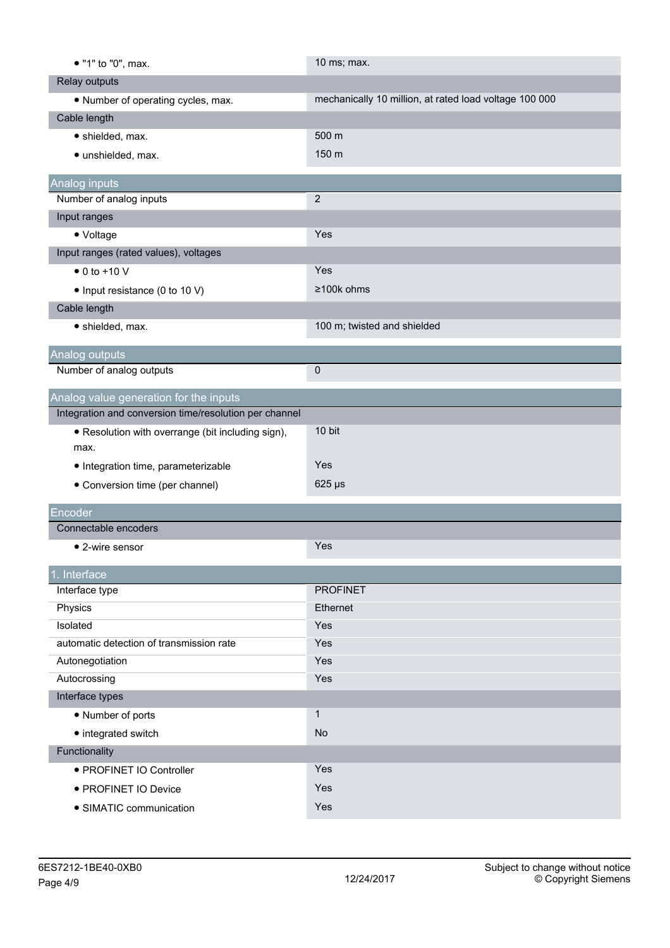| • "1" to "0", max.                                     | 10 ms; max.                                            |
|--------------------------------------------------------|--------------------------------------------------------|
| Relay outputs                                          |                                                        |
| • Number of operating cycles, max.                     | mechanically 10 million, at rated load voltage 100 000 |
| Cable length                                           |                                                        |
| · shielded, max.                                       | 500 m                                                  |
| · unshielded, max.                                     | 150 m                                                  |
|                                                        |                                                        |
| Analog inputs<br>Number of analog inputs               | $\overline{2}$                                         |
| Input ranges                                           |                                                        |
| • Voltage                                              | Yes                                                    |
| Input ranges (rated values), voltages                  |                                                        |
| $\bullet$ 0 to +10 V                                   | Yes                                                    |
| • Input resistance (0 to 10 V)                         | ≥100k ohms                                             |
| Cable length                                           |                                                        |
| · shielded, max.                                       | 100 m; twisted and shielded                            |
|                                                        |                                                        |
| Analog outputs                                         |                                                        |
| Number of analog outputs                               | 0                                                      |
| Analog value generation for the inputs                 |                                                        |
| Integration and conversion time/resolution per channel |                                                        |
| • Resolution with overrange (bit including sign),      | 10 bit                                                 |
| max.                                                   |                                                        |
| • Integration time, parameterizable                    | Yes                                                    |
| • Conversion time (per channel)                        | $625 \,\mu s$                                          |
| Encoder                                                |                                                        |
| Connectable encoders                                   |                                                        |
| $\bullet$ 2-wire sensor                                | Yes                                                    |
|                                                        |                                                        |
| . Interface                                            |                                                        |
| Interface type                                         | <b>PROFINET</b>                                        |
| Physics                                                | Ethernet                                               |
| Isolated                                               | Yes                                                    |
| automatic detection of transmission rate               | Yes                                                    |
| Autonegotiation                                        | Yes                                                    |
| Autocrossing                                           | Yes                                                    |
| Interface types                                        |                                                        |
| • Number of ports                                      | $\mathbf{1}$                                           |
| • integrated switch                                    | <b>No</b>                                              |
| Functionality                                          |                                                        |
| · PROFINET IO Controller                               | Yes                                                    |
| · PROFINET IO Device                                   | Yes                                                    |
| • SIMATIC communication                                | Yes                                                    |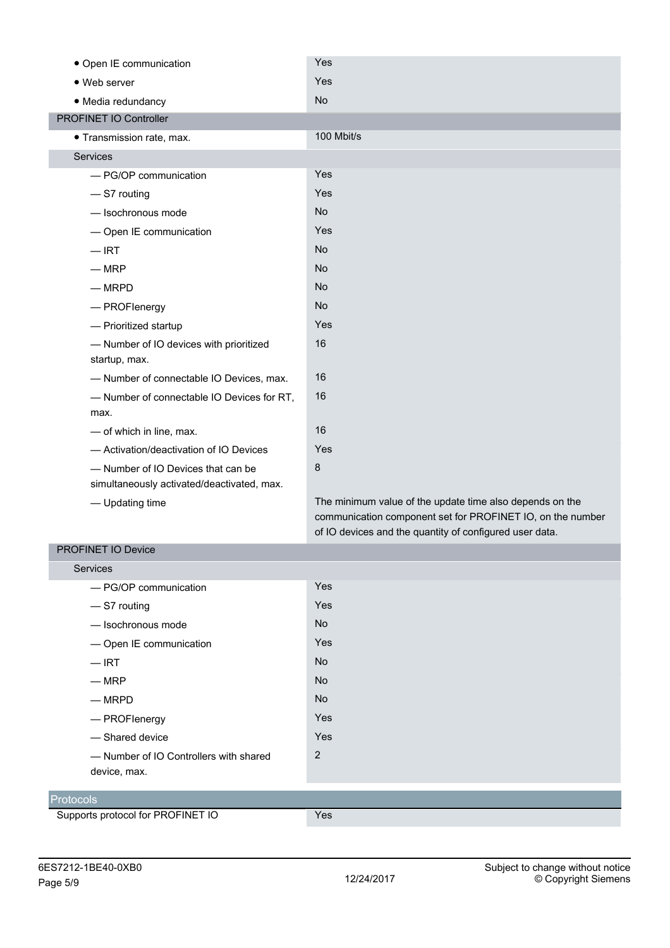| • Open IE communication                    | Yes                                                      |
|--------------------------------------------|----------------------------------------------------------|
| • Web server                               | Yes                                                      |
| · Media redundancy                         | <b>No</b>                                                |
| PROFINET IO Controller                     |                                                          |
| • Transmission rate, max.                  | 100 Mbit/s                                               |
| Services                                   |                                                          |
| - PG/OP communication                      | Yes                                                      |
| -S7 routing                                | Yes                                                      |
| - Isochronous mode                         | <b>No</b>                                                |
| - Open IE communication                    | Yes                                                      |
| $-$ IRT                                    | <b>No</b>                                                |
| $-MRP$                                     | <b>No</b>                                                |
| $-MRPD$                                    | <b>No</b>                                                |
| - PROFlenergy                              | <b>No</b>                                                |
| - Prioritized startup                      | Yes                                                      |
| - Number of IO devices with prioritized    | 16                                                       |
| startup, max.                              |                                                          |
| - Number of connectable IO Devices, max.   | 16                                                       |
| - Number of connectable IO Devices for RT, | 16                                                       |
| max.                                       |                                                          |
| - of which in line, max.                   | 16                                                       |
| - Activation/deactivation of IO Devices    | Yes                                                      |
| - Number of IO Devices that can be         | $\bf 8$                                                  |
| simultaneously activated/deactivated, max. |                                                          |
| - Updating time                            | The minimum value of the update time also depends on the |

communication component set for PROFINET IO, on the number of IO devices and the quantity of configured user data.

## PROFINET IO Device

| Services                               |                |
|----------------------------------------|----------------|
| - PG/OP communication                  | Yes            |
| -S7 routing                            | Yes            |
| -lsochronous mode                      | <b>No</b>      |
| - Open IE communication                | Yes            |
| $-$ IRT                                | <b>No</b>      |
| $-$ MRP                                | <b>No</b>      |
| $-MRPD$                                | <b>No</b>      |
| — PROFlenergy                          | Yes            |
| - Shared device                        | Yes            |
| - Number of IO Controllers with shared | $\overline{2}$ |
| device, max.                           |                |
|                                        |                |
| <b>Protocols</b>                       |                |
| Supports protocol for PROFINET IO      | Yes            |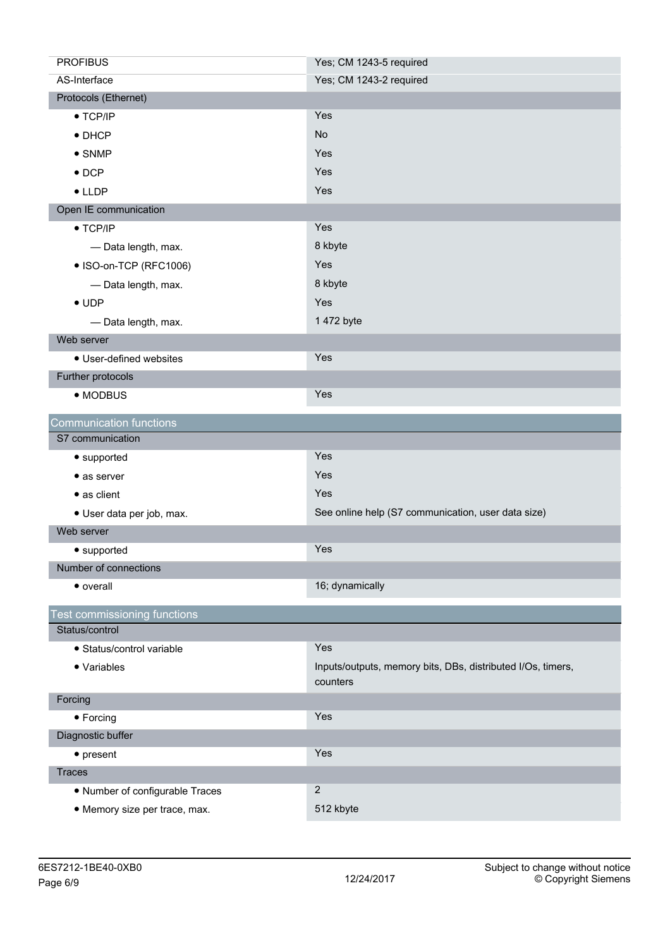| <b>PROFIBUS</b>                 | Yes; CM 1243-5 required                                                 |
|---------------------------------|-------------------------------------------------------------------------|
| AS-Interface                    | Yes; CM 1243-2 required                                                 |
| Protocols (Ethernet)            |                                                                         |
| $\bullet$ TCP/IP                | Yes                                                                     |
| $\bullet$ DHCP                  | No                                                                      |
| $\bullet$ SNMP                  | Yes                                                                     |
| $\bullet$ DCP                   | Yes                                                                     |
| $\bullet$ LLDP                  | Yes                                                                     |
| Open IE communication           |                                                                         |
| $\bullet$ TCP/IP                | Yes                                                                     |
| - Data length, max.             | 8 kbyte                                                                 |
| • ISO-on-TCP (RFC1006)          | Yes                                                                     |
| - Data length, max.             | 8 kbyte                                                                 |
| $\bullet$ UDP                   | Yes                                                                     |
| - Data length, max.             | 1 472 byte                                                              |
| Web server                      |                                                                         |
| • User-defined websites         | Yes                                                                     |
| Further protocols               |                                                                         |
| • MODBUS                        | Yes                                                                     |
| <b>Communication functions</b>  |                                                                         |
| S7 communication                |                                                                         |
| • supported                     | Yes                                                                     |
| $\bullet$ as server             | Yes                                                                     |
| • as client                     | Yes                                                                     |
| · User data per job, max.       | See online help (S7 communication, user data size)                      |
| Web server                      |                                                                         |
| • supported                     | Yes                                                                     |
| Number of connections           |                                                                         |
| • overall                       | 16; dynamically                                                         |
| est commissioning functions     |                                                                         |
| Status/control                  |                                                                         |
| · Status/control variable       | Yes                                                                     |
| • Variables                     | Inputs/outputs, memory bits, DBs, distributed I/Os, timers,<br>counters |
| Forcing                         |                                                                         |
| • Forcing                       | Yes                                                                     |
| Diagnostic buffer               |                                                                         |
| $\bullet$ present               | Yes                                                                     |
|                                 |                                                                         |
| <b>Traces</b>                   |                                                                         |
| • Number of configurable Traces | $\overline{2}$                                                          |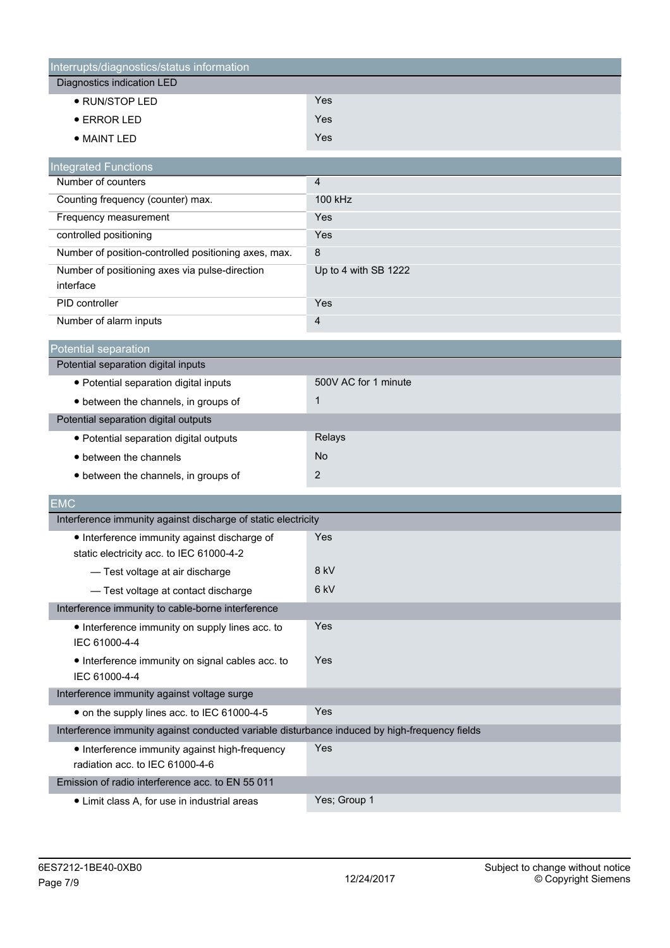| Interrupts/diagnostics/status information                                                     |                      |
|-----------------------------------------------------------------------------------------------|----------------------|
| Diagnostics indication LED                                                                    |                      |
| · RUN/STOP LED                                                                                | Yes                  |
| <b>• ERROR LED</b>                                                                            | Yes                  |
| • MAINT LED                                                                                   | Yes                  |
| <b>Integrated Functions</b>                                                                   |                      |
| Number of counters                                                                            | $\overline{4}$       |
| Counting frequency (counter) max.                                                             | 100 kHz              |
| Frequency measurement                                                                         | Yes                  |
| controlled positioning                                                                        | Yes                  |
| Number of position-controlled positioning axes, max.                                          | 8                    |
| Number of positioning axes via pulse-direction                                                | Up to 4 with SB 1222 |
| interface                                                                                     |                      |
| PID controller                                                                                | Yes                  |
| Number of alarm inputs                                                                        | 4                    |
| Potential separation                                                                          |                      |
| Potential separation digital inputs                                                           |                      |
| • Potential separation digital inputs                                                         | 500V AC for 1 minute |
| • between the channels, in groups of                                                          | $\mathbf{1}$         |
| Potential separation digital outputs                                                          |                      |
| · Potential separation digital outputs                                                        | Relays               |
| • between the channels                                                                        | No                   |
| • between the channels, in groups of                                                          | 2                    |
|                                                                                               |                      |
| EMC<br>Interference immunity against discharge of static electricity                          |                      |
|                                                                                               | Yes                  |
| • Interference immunity against discharge of<br>static electricity acc. to IEC 61000-4-2      |                      |
| - Test voltage at air discharge                                                               | 8 kV                 |
| - Test voltage at contact discharge                                                           | 6 kV                 |
| Interference immunity to cable-borne interference                                             |                      |
| • Interference immunity on supply lines acc. to                                               | Yes                  |
| IEC 61000-4-4                                                                                 |                      |
| • Interference immunity on signal cables acc. to                                              | Yes                  |
| IEC 61000-4-4                                                                                 |                      |
| Interference immunity against voltage surge                                                   |                      |
| • on the supply lines acc. to IEC 61000-4-5                                                   | Yes                  |
| Interference immunity against conducted variable disturbance induced by high-frequency fields |                      |
| • Interference immunity against high-frequency                                                | Yes                  |
| radiation acc. to IEC 61000-4-6                                                               |                      |
| Emission of radio interference acc. to EN 55 011                                              |                      |
| • Limit class A, for use in industrial areas                                                  | Yes; Group 1         |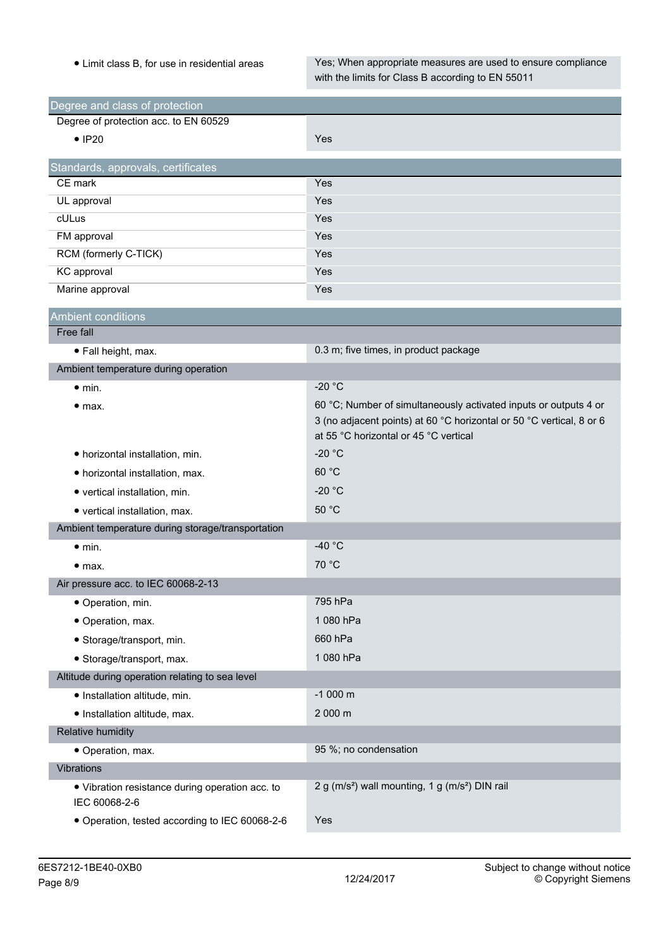• Limit class B, for use in residential areas Yes; When appropriate measures are used to ensure compliance with the limits for Class B according to EN 55011

| Degree and class of protection                                   |                                                                                                                                                                                   |
|------------------------------------------------------------------|-----------------------------------------------------------------------------------------------------------------------------------------------------------------------------------|
| Degree of protection acc. to EN 60529                            |                                                                                                                                                                                   |
| $\bullet$ IP20                                                   | Yes                                                                                                                                                                               |
| Standards, approvals, certificates                               |                                                                                                                                                                                   |
| CE mark                                                          | Yes                                                                                                                                                                               |
| UL approval                                                      | Yes                                                                                                                                                                               |
| cULus                                                            | Yes                                                                                                                                                                               |
| FM approval                                                      | Yes                                                                                                                                                                               |
| RCM (formerly C-TICK)                                            | Yes                                                                                                                                                                               |
| KC approval                                                      | Yes                                                                                                                                                                               |
| Marine approval                                                  | Yes                                                                                                                                                                               |
| <b>Ambient conditions</b>                                        |                                                                                                                                                                                   |
| Free fall                                                        |                                                                                                                                                                                   |
| · Fall height, max.                                              | 0.3 m; five times, in product package                                                                                                                                             |
| Ambient temperature during operation                             |                                                                                                                                                                                   |
| $\bullet$ min.                                                   | $-20 °C$                                                                                                                                                                          |
| • <sub>max.</sub>                                                | 60 °C; Number of simultaneously activated inputs or outputs 4 or<br>3 (no adjacent points) at 60 °C horizontal or 50 °C vertical, 8 or 6<br>at 55 °C horizontal or 45 °C vertical |
| • horizontal installation, min.                                  | -20 $^{\circ}$ C                                                                                                                                                                  |
| • horizontal installation, max.                                  | 60 °C                                                                                                                                                                             |
| • vertical installation, min.                                    | $-20 °C$                                                                                                                                                                          |
| • vertical installation, max.                                    | 50 °C                                                                                                                                                                             |
| Ambient temperature during storage/transportation                |                                                                                                                                                                                   |
| $\bullet$ min.                                                   | -40 $^{\circ}$ C                                                                                                                                                                  |
| • <sub>max.</sub>                                                | 70 °C                                                                                                                                                                             |
| Air pressure acc. to IEC 60068-2-13                              |                                                                                                                                                                                   |
| · Operation, min.                                                | 795 hPa                                                                                                                                                                           |
| • Operation, max.                                                | 1 080 hPa                                                                                                                                                                         |
| · Storage/transport, min.                                        | 660 hPa                                                                                                                                                                           |
| • Storage/transport, max.                                        | 1 080 hPa                                                                                                                                                                         |
| Altitude during operation relating to sea level                  |                                                                                                                                                                                   |
| · Installation altitude, min.                                    | $-1000$ m                                                                                                                                                                         |
| · Installation altitude, max.                                    | 2 000 m                                                                                                                                                                           |
| Relative humidity                                                |                                                                                                                                                                                   |
| • Operation, max.                                                | 95 %; no condensation                                                                                                                                                             |
| Vibrations                                                       |                                                                                                                                                                                   |
| • Vibration resistance during operation acc. to<br>IEC 60068-2-6 | 2 g (m/s <sup>2</sup> ) wall mounting, 1 g (m/s <sup>2</sup> ) DIN rail                                                                                                           |
| · Operation, tested according to IEC 60068-2-6                   | Yes                                                                                                                                                                               |